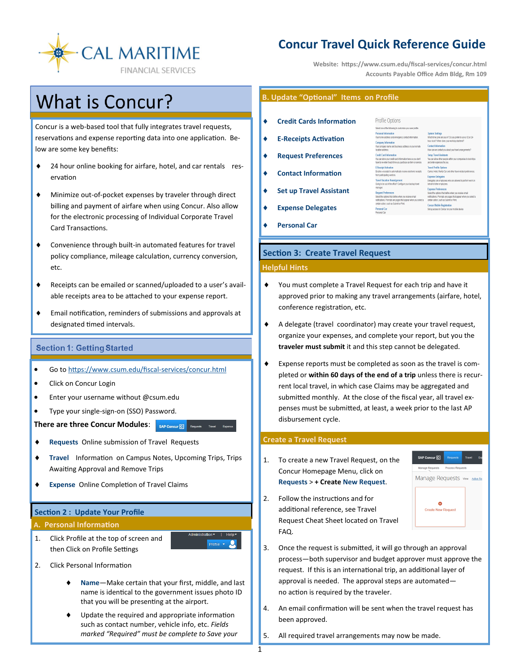

# **Concur Travel Quick Reference Guide**

Profile Options electione of the fol

**Website: https://www.csum.edu/fiscal-services/concur.html Accounts Payable Office Adm Bldg, Rm 109**

> mpany name and business address or your remote rformation here so you don't<br>Lourchase an item or service natically receive electronic receipts

# **What is Concur?**

Concur is a web-based tool that fully integrates travel requests, reservations and expense reporting data into one application. Below are some key benefits:

- ♦ 24 hour online booking for airfare, hotel, and car rentals reservation
- Minimize out-of-pocket expenses by traveler through direct billing and payment of airfare when using Concur. Also allow for the electronic processing of Individual Corporate Travel Card Transactions.
- Convenience through built-in automated features for travel policy compliance, mileage calculation, currency conversion, etc.
- Receipts can be emailed or scanned/uploaded to a user's available receipts area to be attached to your expense report.
- Email notification, reminders of submissions and approvals at designated timed intervals.

# **Section 1: Getting Started**

- Go to [https://www.csum.edu/fiscal](https://www.csum.edu/financialservices/travel)-services/concur.html
- Click on Concur Login
- Enter your username without @csum.edu
- Type your single-sign-on (SSO) Password.

**There are three Concur Modules:** SAP Concur **I**Requests Travel Experise

- **Requests** Online submission of Travel Requests
- **Travel** Information on Campus Notes, Upcoming Trips, Trips Awaiting Approval and Remove Trips
- **Expense** Online Completion of Travel Claims

#### **Section 2 : Update Your Profile**

#### **A. Personal Information**

1. Click Profile at the top of screen and then Click on Profile Settings



- 2. Click Personal Information
	- **Name**—Make certain that your first, middle, and last name is identical to the government issues photo ID that you will be presenting at the airport.
	- Update the required and appropriate information such as contact number, vehicle info, etc. *Fields marked "Required" must be complete to Save your*

# **B. Update "Optional" Items on Profile**

- **Credit Cards Information**
- **E-Receipts Activation**
- **Request Preferences**
- **Contact Information**
- **Set up Travel Assistant** 
	- **Expense Delegates**
- **Personal Car**

## **Section 3: Create Travel Request**

#### **Helpful Hints**

- You must complete a Travel Request for each trip and have it approved prior to making any travel arrangements (airfare, hotel, conference registration, etc.
- A delegate (travel coordinator) may create your travel request, organize your expenses, and complete your report, but you the **traveler must submit** it and this step cannot be delegated.
- Expense reports must be completed as soon as the travel is completed or **within 60 days of the end of a trip** unless there is recurrent local travel, in which case Claims may be aggregated and submitted monthly. At the close of the fiscal year, all travel expenses must be submitted, at least, a week prior to the last AP disbursement cycle.

#### **Create a Travel Request**

- 1. To create a new Travel Request, on the Concur Homepage Menu, click on **Requests** > **+ Create New Request**.
- 2. Follow the instructions and for additional reference, see Travel Request Cheat Sheet located on Travel FAQ.



- 3. Once the request is submitted, it will go through an approval process—both supervisor and budget approver must approve the request. If this is an international trip, an additional layer of approval is needed. The approval steps are automated no action is required by the traveler.
- 4. An email confirmation will be sent when the travel request has been approved.
- 5. All required travel arrangements may now be made.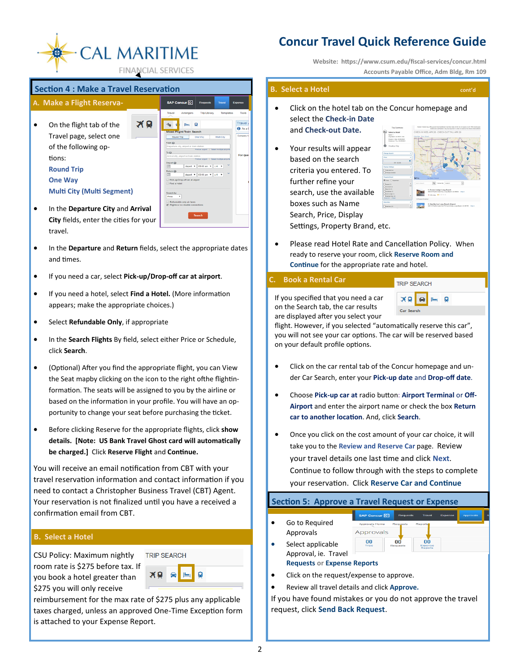

# **Section 4 : Make a Travel Reservation**

| A. Make a Flight Reserva-                     |    | SAP Concur <sup>[C]</sup>                                     | <b>Requests</b>                                                                        | <b>Travel</b> | Expens              |
|-----------------------------------------------|----|---------------------------------------------------------------|----------------------------------------------------------------------------------------|---------------|---------------------|
|                                               |    | Travel<br>Arrangers                                           | <b>Trip Library</b>                                                                    | Templates     | т                   |
| On the flight tab of the                      | ΧO |                                                               | Q                                                                                      |               | Tra<br>$\mathbf{a}$ |
| Travel page, select one                       |    | Mixed Fiight/Train Search<br>Round Trip                       | One Way                                                                                | Multi City    | Com                 |
| of the following op-                          |    | From @<br>Departure city, airport or train station            | Find an airport   Select multiple airports                                             |               |                     |
| tions:                                        |    | To<br>Arrival city, airport or train station<br>Depart @      | Find an airport   Select multiple airports                                             |               | For                 |
| <b>Round Trip</b>                             |    | $\Box$<br>Return @                                            | depart = 09:00 am = 24 =<br>depart $\mathbf{v}$ 03:00 pm $\mathbf{v}$ = 4 $\mathbf{v}$ |               |                     |
| <b>One Way</b>                                |    | 皿<br>Pick-up/Drop-off car at airport<br>Find a Hotel          |                                                                                        |               |                     |
| <b>Multi City (Multi Segment)</b>             |    | Search by<br>$\cdot$<br>Price                                 |                                                                                        |               |                     |
| In the Departure City and Arrival             |    | Refundable only air fares<br>Flights w/ no double connections |                                                                                        |               |                     |
| <b>City</b> fields, enter the cities for your |    |                                                               | <b>Search</b>                                                                          |               |                     |
| <b>A</b> 1                                    |    |                                                               |                                                                                        |               |                     |

- **City** fields, enter the citi travel.
- In the **Departure** and **Return** fields, select the appropriate dates and times.
- If you need a car, select **Pick-up/Drop-off car at airport**.
- If you need a hotel, select **Find a Hotel.** (More information appears; make the appropriate choices.)
- Select **Refundable Only**, if appropriate
- In the **Search Flights** By field, select either Price or Schedule, click **Search**.
- (Optional) After you find the appropriate flight, you can View the Seat mapby clicking on the icon to the right ofthe flightinformation. The seats will be assigned to you by the airline or based on the information in your profile. You will have an opportunity to change your seat before purchasing the ticket.
- Before clicking Reserve for the appropriate flights, click **show details. [Note: US Bank Travel Ghost card will automatically be charged.]** Click **Reserve Flight** and **Continue.**

You will receive an email notification from CBT with your travel reservation information and contact information if you need to contact a Christopher Business Travel (CBT) Agent. Your reservation is not finalized until you have a received a confirmation email from CBT.

### **B. Select a Hotel**

CSU Policy: Maximum nightly room rate is \$275 before tax. If you book a hotel greater than \$275 you will only receive



reimbursement for the max rate of \$275 plus any applicable taxes charged, unless an approved One-Time Exception form is attached to your Expense Report.

# **Concur Travel Quick Reference Guide**

**Website: https://www.csum.edu/fiscal-services/concur.html Accounts Payable Office, Adm Bldg, Rm 109**

## **B. Select a Hotel cont'<sup>d</sup>**

- Click on the hotel tab on the Concur homepage and select the **Check-in Date** and **Check-out Date.**
- Your results will appear based on the search criteria you entered. To further refine your search, use the available boxes such as Name Search, Price, Display Settings, Property Brand, etc.



• Please read Hotel Rate and Cancellation Policy. When ready to reserve your room, click **Reserve Room and Continue** for the appropriate rate and hotel.

### **C. Book a Rental Car**



 $F$ 

 $\vec{00}$ 

If you specified that you need a car on the Search tab, the car results are displayed after you select your

flight. However, if you selected "automatically reserve this car", you will not see your car options. The car will be reserved based on your default profile options.

- Click on the car rental tab of the Concur homepage and under Car Search, enter your **Pick-up date** and **Drop-off date**.
- Choose **Pick-up car at** radio button: **Airport Terminal** or **Off-Airport** and enter the airport name or check the box **Return car to another location**. And, click **Search**.
- Once you click on the cost amount of your car choice, it will take you to the **Review and Reserve Car** page. Review your travel details one last time and click **Next**. Continue to follow through with the steps to complete your reservation. Click **Reserve Car and Continue**

. iai

 $0<sup>0</sup>$ 

# **Section 5: Approve a Travel Request or Expense**

Approvals

- Go to Required Approvals
- $\frac{0}{2}$ Select applicable Approval, ie. Travel **Requests or Expense Reports**
- Click on the request/expense to approve.
- Review all travel details and click **Approve.**

If you have found mistakes or you do not approve the travel request, click **Send Back Request**.